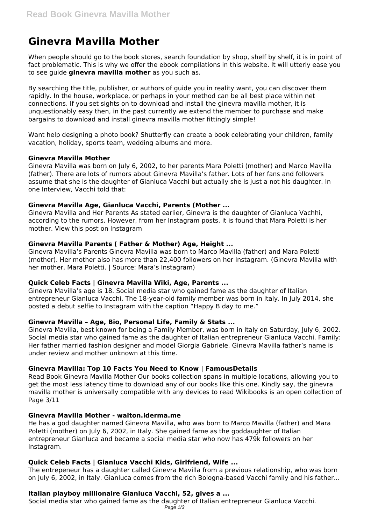# **Ginevra Mavilla Mother**

When people should go to the book stores, search foundation by shop, shelf by shelf, it is in point of fact problematic. This is why we offer the ebook compilations in this website. It will utterly ease you to see guide **ginevra mavilla mother** as you such as.

By searching the title, publisher, or authors of guide you in reality want, you can discover them rapidly. In the house, workplace, or perhaps in your method can be all best place within net connections. If you set sights on to download and install the ginevra mavilla mother, it is unquestionably easy then, in the past currently we extend the member to purchase and make bargains to download and install ginevra mavilla mother fittingly simple!

Want help designing a photo book? Shutterfly can create a book celebrating your children, family vacation, holiday, sports team, wedding albums and more.

## **Ginevra Mavilla Mother**

Ginevra Mavilla was born on July 6, 2002, to her parents Mara Poletti (mother) and Marco Mavilla (father). There are lots of rumors about Ginevra Mavilla's father. Lots of her fans and followers assume that she is the daughter of Gianluca Vacchi but actually she is just a not his daughter. In one Interview, Vacchi told that:

## **Ginevra Mavilla Age, Gianluca Vacchi, Parents (Mother ...**

Ginevra Mavilla and Her Parents As stated earlier, Ginevra is the daughter of Gianluca Vachhi, according to the rumors. However, from her Instagram posts, it is found that Mara Poletti is her mother. View this post on Instagram

# **Ginevra Mavilla Parents ( Father & Mother) Age, Height ...**

Ginevra Mavilla's Parents Ginevra Mavilla was born to Marco Mavilla (father) and Mara Poletti (mother). Her mother also has more than 22,400 followers on her Instagram. (Ginevra Mavilla with her mother, Mara Poletti. | Source: Mara's Instagram)

#### **Quick Celeb Facts | Ginevra Mavilla Wiki, Age, Parents ...**

Ginevra Mavilla's age is 18. Social media star who gained fame as the daughter of Italian entrepreneur Gianluca Vacchi. The 18-year-old family member was born in Italy. In July 2014, she posted a debut selfie to Instagram with the caption "Happy B day to me."

# **Ginevra Mavilla – Age, Bio, Personal Life, Family & Stats ...**

Ginevra Mavilla, best known for being a Family Member, was born in Italy on Saturday, July 6, 2002. Social media star who gained fame as the daughter of Italian entrepreneur Gianluca Vacchi. Family: Her father married fashion designer and model Giorgia Gabriele. Ginevra Mavilla father's name is under review and mother unknown at this time.

# **Ginevra Mavilla: Top 10 Facts You Need to Know | FamousDetails**

Read Book Ginevra Mavilla Mother Our books collection spans in multiple locations, allowing you to get the most less latency time to download any of our books like this one. Kindly say, the ginevra mavilla mother is universally compatible with any devices to read Wikibooks is an open collection of Page 3/11

#### **Ginevra Mavilla Mother - walton.iderma.me**

He has a god daughter named Ginevra Mavilla, who was born to Marco Mavilla (father) and Mara Poletti (mother) on July 6, 2002, in Italy. She gained fame as the goddaughter of Italian entrepreneur Gianluca and became a social media star who now has 479k followers on her Instagram.

# **Quick Celeb Facts | Gianluca Vacchi Kids, Girlfriend, Wife ...**

The entrepeneur has a daughter called Ginevra Mavilla from a previous relationship, who was born on July 6, 2002, in Italy. Gianluca comes from the rich Bologna-based Vacchi family and his father...

#### **Italian playboy millionaire Gianluca Vacchi, 52, gives a ...**

Social media star who gained fame as the daughter of Italian entrepreneur Gianluca Vacchi. Page 1/3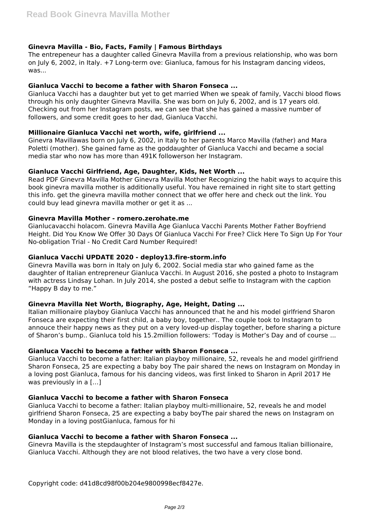# **Ginevra Mavilla - Bio, Facts, Family | Famous Birthdays**

The entrepeneur has a daughter called Ginevra Mavilla from a previous relationship, who was born on July 6, 2002, in Italy. +7 Long-term ove: Gianluca, famous for his Instagram dancing videos, was...

## **Gianluca Vacchi to become a father with Sharon Fonseca ...**

Gianluca Vacchi has a daughter but yet to get married When we speak of family, Vacchi blood flows through his only daughter Ginevra Mavilla. She was born on July 6, 2002, and is 17 years old. Checking out from her Instagram posts, we can see that she has gained a massive number of followers, and some credit goes to her dad, Gianluca Vacchi.

## **Millionaire Gianluca Vacchi net worth, wife, girlfriend ...**

Ginevra Mavillawas born on July 6, 2002, in Italy to her parents Marco Mavilla (father) and Mara Poletti (mother). She gained fame as the goddaughter of Gianluca Vacchi and became a social media star who now has more than 491K followerson her Instagram.

## **Gianluca Vacchi Girlfriend, Age, Daughter, Kids, Net Worth ...**

Read PDF Ginevra Mavilla Mother Ginevra Mavilla Mother Recognizing the habit ways to acquire this book ginevra mavilla mother is additionally useful. You have remained in right site to start getting this info. get the ginevra mavilla mother connect that we offer here and check out the link. You could buy lead ginevra mavilla mother or get it as ...

#### **Ginevra Mavilla Mother - romero.zerohate.me**

Gianlucavacchi holacom. Ginevra Mavilla Age Gianluca Vacchi Parents Mother Father Boyfriend Height. Did You Know We Offer 30 Days Of Gianluca Vacchi For Free? Click Here To Sign Up For Your No-obligation Trial - No Credit Card Number Required!

## **Gianluca Vacchi UPDATE 2020 - deploy13.fire-storm.info**

Ginevra Mavilla was born in Italy on July 6, 2002. Social media star who gained fame as the daughter of Italian entrepreneur Gianluca Vacchi. In August 2016, she posted a photo to Instagram with actress Lindsay Lohan. In July 2014, she posted a debut selfie to Instagram with the caption "Happy B day to me."

#### **Ginevra Mavilla Net Worth, Biography, Age, Height, Dating ...**

Italian millionaire playboy Gianluca Vacchi has announced that he and his model girlfriend Sharon Fonseca are expecting their first child, a baby boy, together.. The couple took to Instagram to annouce their happy news as they put on a very loved-up display together, before sharing a picture of Sharon's bump.. Gianluca told his 15.2million followers: 'Today is Mother's Day and of course ...

# **Gianluca Vacchi to become a father with Sharon Fonseca ...**

Gianluca Vacchi to become a father: Italian playboy millionaire, 52, reveals he and model girlfriend Sharon Fonseca, 25 are expecting a baby boy The pair shared the news on Instagram on Monday in a loving post Gianluca, famous for his dancing videos, was first linked to Sharon in April 2017 He was previously in a [...]

#### **Gianluca Vacchi to become a father with Sharon Fonseca**

Gianluca Vacchi to become a father: Italian playboy multi-millionaire, 52, reveals he and model girlfriend Sharon Fonseca, 25 are expecting a baby boyThe pair shared the news on Instagram on Monday in a loving postGianluca, famous for hi

## **Gianluca Vacchi to become a father with Sharon Fonseca ...**

Ginevra Mavilla is the stepdaughter of Instagram's most successful and famous Italian billionaire, Gianluca Vacchi. Although they are not blood relatives, the two have a very close bond.

Copyright code: d41d8cd98f00b204e9800998ecf8427e.